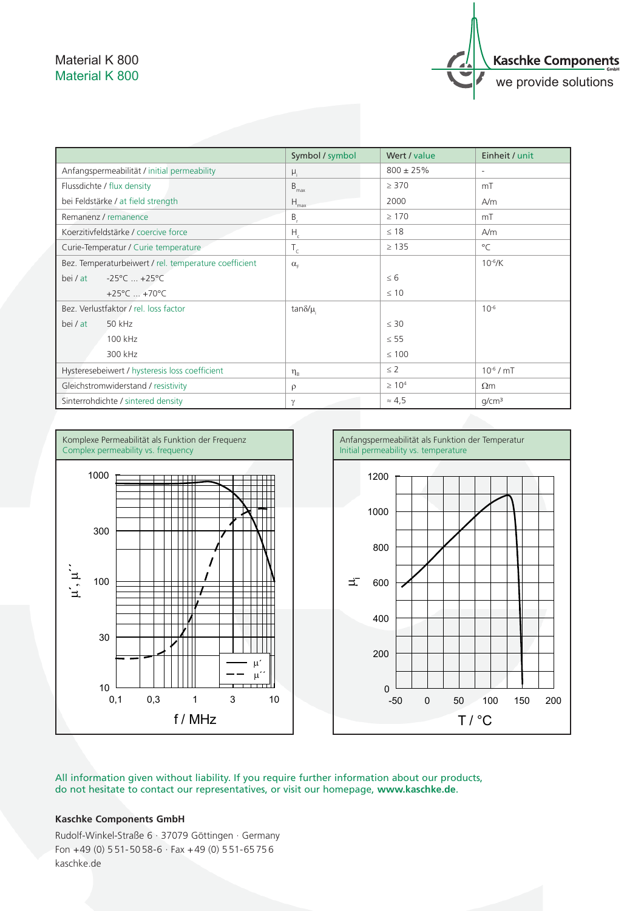## Material K 800 Material K 800



|                                                       | Symbol / symbol  | Wert / value   | Einheit / unit           |
|-------------------------------------------------------|------------------|----------------|--------------------------|
| Anfangspermeabilität / initial permeability           | $\mu_i$          | $800 \pm 25\%$ | $\overline{\phantom{a}}$ |
| Flussdichte / flux density                            | $B_{\text{max}}$ | $\geq$ 370     | mT                       |
| bei Feldstärke / at field strength                    | $H_{\text{max}}$ | 2000           | A/m                      |
| Remanenz / remanence                                  | $B_{r}$          | $\geq 170$     | mT                       |
| Koerzitivfeldstärke / coercive force                  | $H_c$            | $\leq 18$      | A/m                      |
| Curie-Temperatur / Curie temperature                  | $T_c$            | $\geq 135$     | $^{\circ}$ C             |
| Bez. Temperaturbeiwert / rel. temperature coefficient | $\alpha_{\rm F}$ |                | $10^{-6}$ /K             |
| $-25^{\circ}$ C $+25^{\circ}$ C<br>bei / at           |                  | $\leq 6$       |                          |
| +25 $^{\circ}$ C  +70 $^{\circ}$ C                    |                  | $\leq 10$      |                          |
| Bez. Verlustfaktor / rel. loss factor                 | tan $\delta/\mu$ |                | $10^{-6}$                |
| 50 kHz<br>bei / at                                    |                  | $\leq 30$      |                          |
| 100 kHz                                               |                  | $\leq 55$      |                          |
| 300 kHz                                               |                  | $\leq 100$     |                          |
| Hysteresebeiwert / hysteresis loss coefficient        | $\eta_{\rm B}$   | $\leq$ 2       | $10^{-6}$ / mT           |
| Gleichstromwiderstand / resistivity                   | $\rho$           | $\geq 10^{4}$  | $\Omega$ m               |
| Sinterrohdichte / sintered density                    | $\gamma$         | $\approx 4.5$  | q/cm <sup>3</sup>        |





All information given without liability. If you require further information about our products, do not hesitate to contact our representatives, or visit our homepage, **www.kaschke.de**.

## **Kaschke Components GmbH**

Rudolf-Winkel-Straße 6 · 37079 Göttingen · Germany Fon  $+49$  (0) 551-5058-6  $\cdot$  Fax  $+49$  (0) 551-65756 kaschke.de